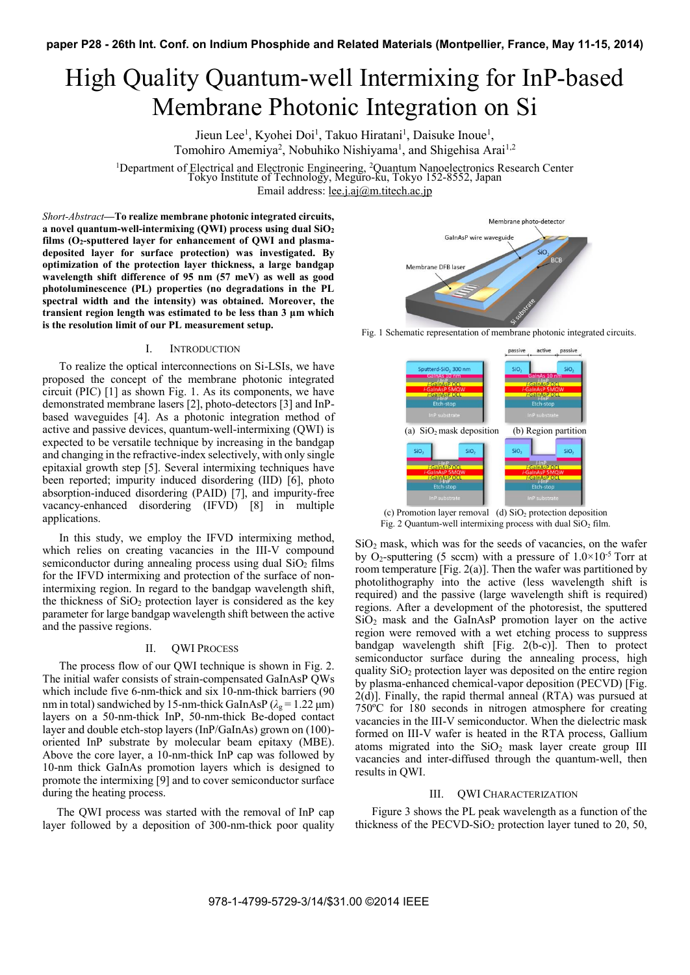# High Quality Quantum-well Intermixing for InP-based Membrane Photonic Integration on Si

Jieun Lee<sup>1</sup>, Kyohei Doi<sup>1</sup>, Takuo Hiratani<sup>1</sup>, Daisuke Inoue<sup>1</sup>, Tomohiro Amemiya<sup>2</sup>, Nobuhiko Nishiyama<sup>1</sup>, and Shigehisa Arai<sup>1,2</sup>

1 Department of Electrical and Electronic Engineering, 2 Quantum Nanoelectronics Research Center Tokyo Institute of Technology, Meguro-ku, Tokyo 152-8552, Japan Email address: lee.j.aj@m.titech.ac.jp

*Short-Abstract***—To realize membrane photonic integrated circuits, a novel quantum-well-intermixing (QWI) process using dual SiO2 films (O2-sputtered layer for enhancement of QWI and plasmadeposited layer for surface protection) was investigated. By optimization of the protection layer thickness, a large bandgap wavelength shift difference of 95 nm (57 meV) as well as good photoluminescence (PL) properties (no degradations in the PL spectral width and the intensity) was obtained. Moreover, the transient region length was estimated to be less than 3 μm which is the resolution limit of our PL measurement setup.** 

# I. INTRODUCTION

To realize the optical interconnections on Si-LSIs, we have proposed the concept of the membrane photonic integrated circuit (PIC) [1] as shown Fig. 1. As its components, we have demonstrated membrane lasers [2], photo-detectors [3] and InPbased waveguides [4]. As a photonic integration method of active and passive devices, quantum-well-intermixing (QWI) is expected to be versatile technique by increasing in the bandgap and changing in the refractive-index selectively, with only single epitaxial growth step [5]. Several intermixing techniques have been reported; impurity induced disordering (IID) [6], photo absorption-induced disordering (PAID) [7], and impurity-free vacancy-enhanced disordering (IFVD) [8] in multiple applications.

In this study, we employ the IFVD intermixing method, which relies on creating vacancies in the III-V compound semiconductor during annealing process using dual  $SiO<sub>2</sub>$  films for the IFVD intermixing and protection of the surface of nonintermixing region. In regard to the bandgap wavelength shift, the thickness of  $SiO<sub>2</sub>$  protection layer is considered as the key parameter for large bandgap wavelength shift between the active and the passive regions.

#### II. QWI PROCESS

The process flow of our OWI technique is shown in Fig. 2. The initial wafer consists of strain-compensated GaInAsP QWs which include five 6-nm-thick and six 10-nm-thick barriers (90 nm in total) sandwiched by 15-nm-thick GaInAsP ( $\lambda_g$  = 1.22  $\mu$ m) layers on a 50-nm-thick InP, 50-nm-thick Be-doped contact layer and double etch-stop layers (InP/GaInAs) grown on (100) oriented InP substrate by molecular beam epitaxy (MBE). Above the core layer, a 10-nm-thick InP cap was followed by 10-nm thick GaInAs promotion layers which is designed to promote the intermixing [9] and to cover semiconductor surface during the heating process.

 The QWI process was started with the removal of InP cap layer followed by a deposition of 300-nm-thick poor quality



Fig. 1 Schematic representation of membrane photonic integrated circuits.



(c) Promotion layer removal (d)  $SiO<sub>2</sub>$  protection deposition Fig. 2 Quantum-well intermixing process with dual  $SiO<sub>2</sub>$  film.

 $SiO<sub>2</sub>$  mask, which was for the seeds of vacancies, on the wafer by O<sub>2</sub>-sputtering (5 sccm) with a pressure of  $1.0 \times 10^{-5}$  Torr at room temperature [Fig. 2(a)]. Then the wafer was partitioned by photolithography into the active (less wavelength shift is required) and the passive (large wavelength shift is required) regions. After a development of the photoresist, the sputtered  $SiO<sub>2</sub>$  mask and the GaInAsP promotion layer on the active region were removed with a wet etching process to suppress bandgap wavelength shift [Fig. 2(b-c)]. Then to protect semiconductor surface during the annealing process, high quality  $SiO<sub>2</sub>$  protection layer was deposited on the entire region by plasma-enhanced chemical-vapor deposition (PECVD) [Fig. 2(d)]. Finally, the rapid thermal anneal (RTA) was pursued at 750ºC for 180 seconds in nitrogen atmosphere for creating vacancies in the III-V semiconductor. When the dielectric mask formed on III-V wafer is heated in the RTA process, Gallium atoms migrated into the  $SiO<sub>2</sub>$  mask layer create group III vacancies and inter-diffused through the quantum-well, then results in QWI.

## III. QWI CHARACTERIZATION

Figure 3 shows the PL peak wavelength as a function of the thickness of the PECVD-SiO<sub>2</sub> protection layer tuned to 20, 50,